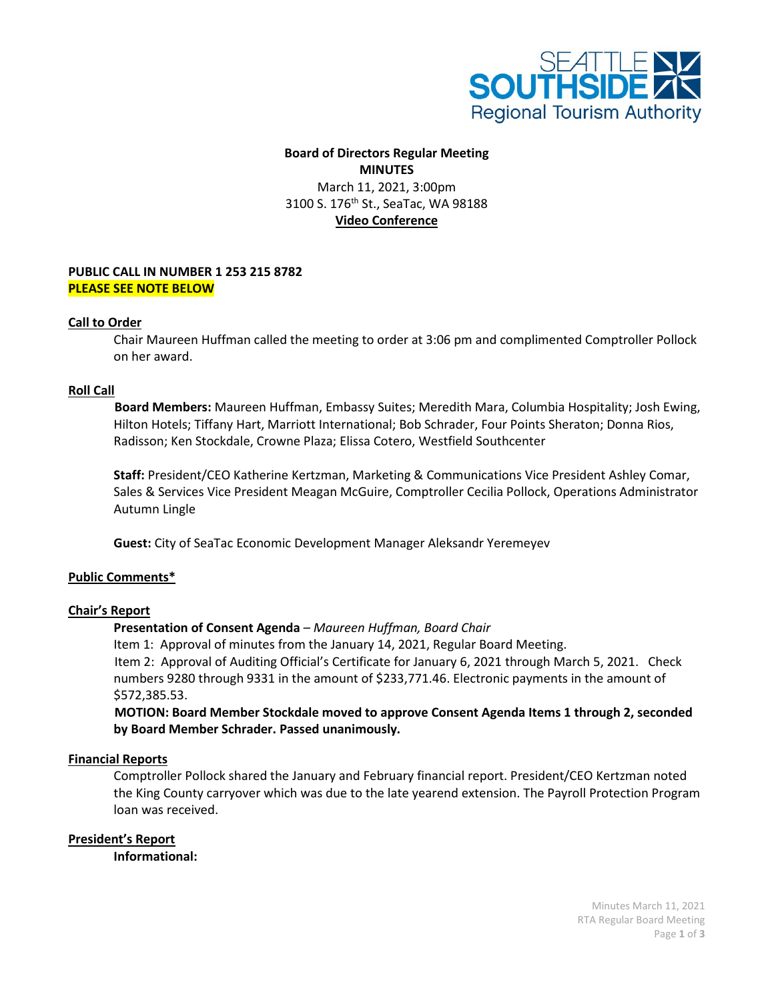

# **Board of Directors Regular Meeting MINUTES** March 11, 2021, 3:00pm 3100 S. 176<sup>th</sup> St., SeaTac, WA 98188 **Video Conference**

## **PUBLIC CALL IN NUMBER 1 253 215 8782 PLEASE SEE NOTE BELOW**

## **Call to Order**

Chair Maureen Huffman called the meeting to order at 3:06 pm and complimented Comptroller Pollock on her award.

#### **Roll Call**

 **Board Members:** Maureen Huffman, Embassy Suites; Meredith Mara, Columbia Hospitality; Josh Ewing, Hilton Hotels; Tiffany Hart, Marriott International; Bob Schrader, Four Points Sheraton; Donna Rios, Radisson; Ken Stockdale, Crowne Plaza; Elissa Cotero, Westfield Southcenter

**Staff:** President/CEO Katherine Kertzman, Marketing & Communications Vice President Ashley Comar, Sales & Services Vice President Meagan McGuire, Comptroller Cecilia Pollock, Operations Administrator Autumn Lingle

**Guest:** City of SeaTac Economic Development Manager Aleksandr Yeremeyev

#### **Public Comments\***

#### **Chair's Report**

#### **Presentation of Consent Agenda** *– Maureen Huffman, Board Chair*

Item 1: Approval of minutes from the January 14, 2021, Regular Board Meeting. Item 2: Approval of Auditing Official's Certificate for January 6, 2021 through March 5, 2021. Check numbers 9280 through 9331 in the amount of \$233,771.46. Electronic payments in the amount of \$572,385.53.

 **MOTION: Board Member Stockdale moved to approve Consent Agenda Items 1 through 2, seconded by Board Member Schrader. Passed unanimously.**

#### **Financial Reports**

Comptroller Pollock shared the January and February financial report. President/CEO Kertzman noted the King County carryover which was due to the late yearend extension. The Payroll Protection Program loan was received.

#### **President's Report**

**Informational:**

Minutes March 11, 2021 RTA Regular Board Meeting Page **1** of **3**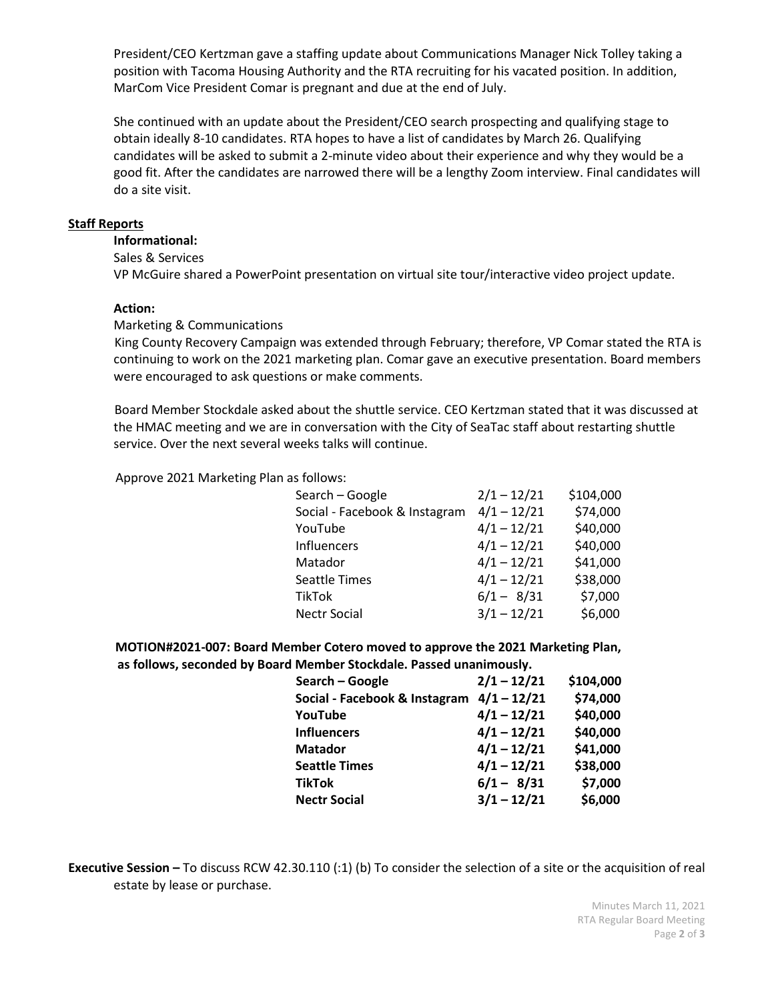President/CEO Kertzman gave a staffing update about Communications Manager Nick Tolley taking a position with Tacoma Housing Authority and the RTA recruiting for his vacated position. In addition, MarCom Vice President Comar is pregnant and due at the end of July.

She continued with an update about the President/CEO search prospecting and qualifying stage to obtain ideally 8-10 candidates. RTA hopes to have a list of candidates by March 26. Qualifying candidates will be asked to submit a 2-minute video about their experience and why they would be a good fit. After the candidates are narrowed there will be a lengthy Zoom interview. Final candidates will do a site visit.

## **Staff Reports**

## **Informational:**

Sales & Services

VP McGuire shared a PowerPoint presentation on virtual site tour/interactive video project update.

## **Action:**

## Marketing & Communications

 King County Recovery Campaign was extended through February; therefore, VP Comar stated the RTA is continuing to work on the 2021 marketing plan. Comar gave an executive presentation. Board members were encouraged to ask questions or make comments.

 Board Member Stockdale asked about the shuttle service. CEO Kertzman stated that it was discussed at the HMAC meeting and we are in conversation with the City of SeaTac staff about restarting shuttle service. Over the next several weeks talks will continue.

Approve 2021 Marketing Plan as follows:

| Search - Google               | $2/1 - 12/21$ | \$104,000 |
|-------------------------------|---------------|-----------|
| Social - Facebook & Instagram | $4/1 - 12/21$ | \$74,000  |
| YouTube                       | $4/1 - 12/21$ | \$40,000  |
| <b>Influencers</b>            | $4/1 - 12/21$ | \$40,000  |
| Matador                       | $4/1 - 12/21$ | \$41,000  |
| <b>Seattle Times</b>          | $4/1 - 12/21$ | \$38,000  |
| TikTok                        | $6/1 - 8/31$  | \$7,000   |
| <b>Nectr Social</b>           | $3/1 - 12/21$ | \$6,000   |

 **MOTION#2021-007: Board Member Cotero moved to approve the 2021 Marketing Plan, as follows, seconded by Board Member Stockdale. Passed unanimously.**

| Search - Google               | $2/1 - 12/21$ | \$104,000 |
|-------------------------------|---------------|-----------|
| Social - Facebook & Instagram | $4/1 - 12/21$ | \$74,000  |
| YouTube                       | $4/1 - 12/21$ | \$40,000  |
| <b>Influencers</b>            | $4/1 - 12/21$ | \$40,000  |
| <b>Matador</b>                | $4/1 - 12/21$ | \$41,000  |
| <b>Seattle Times</b>          | $4/1 - 12/21$ | \$38,000  |
| <b>TikTok</b>                 | $6/1 - 8/31$  | \$7,000   |
| <b>Nectr Social</b>           | $3/1 - 12/21$ | \$6,000   |
|                               |               |           |

**Executive Session –** To discuss RCW 42.30.110 (:1) (b) To consider the selection of a site or the acquisition of real estate by lease or purchase.